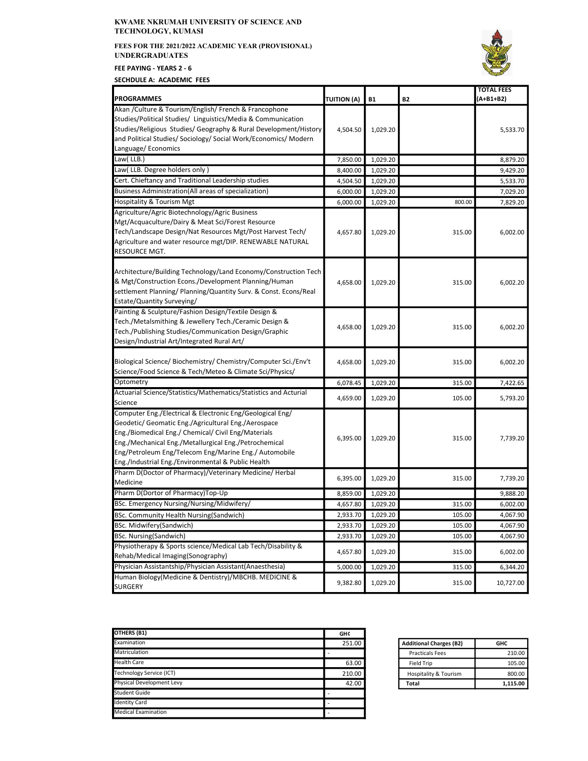## KWAME NKRUMAH UNIVERSITY OF SCIENCE AND TECHNOLOGY, KUMASI

FEES FOR THE 2021/2022 ACADEMIC YEAR (PROVISIONAL) UNDERGRADUATES

FEE PAYING - YEARS 2 - 6

SECHDULE A: ACADEMIC FEES



| <b>PROGRAMMES</b>                                                                                                                                                                                                                                                                                                                               | <b>TUITION (A)</b> | <b>B1</b> | <b>B2</b> | <b>TOTAL FEES</b><br>(A+B1+B2) |
|-------------------------------------------------------------------------------------------------------------------------------------------------------------------------------------------------------------------------------------------------------------------------------------------------------------------------------------------------|--------------------|-----------|-----------|--------------------------------|
| Akan / Culture & Tourism/English/ French & Francophone                                                                                                                                                                                                                                                                                          |                    |           |           |                                |
| Studies/Political Studies/ Linguistics/Media & Communication<br>Studies/Religious Studies/ Geography & Rural Development/History<br>and Political Studies/ Sociology/ Social Work/Economics/ Modern                                                                                                                                             | 4,504.50           | 1,029.20  |           | 5,533.70                       |
| Language/Economics                                                                                                                                                                                                                                                                                                                              |                    |           |           |                                |
| Law(LLB.)                                                                                                                                                                                                                                                                                                                                       | 7,850.00           | 1,029.20  |           | 8,879.20                       |
| Law( LLB. Degree holders only )                                                                                                                                                                                                                                                                                                                 | 8,400.00           | 1,029.20  |           | 9,429.20                       |
| Cert. Chieftancy and Traditional Leadership studies                                                                                                                                                                                                                                                                                             | 4,504.50           | 1,029.20  |           | 5,533.70                       |
| Business Administration(All areas of specialization)                                                                                                                                                                                                                                                                                            | 6,000.00           | 1,029.20  |           | 7,029.20                       |
| Hospitality & Tourism Mgt                                                                                                                                                                                                                                                                                                                       | 6,000.00           | 1,029.20  | 800.00    | 7,829.20                       |
| Agriculture/Agric Biotechnology/Agric Business<br>Mgt/Acquaculture/Dairy & Meat Sci/Forest Resource<br>Tech/Landscape Design/Nat Resources Mgt/Post Harvest Tech/<br>Agriculture and water resource mgt/DIP. RENEWABLE NATURAL<br>RESOURCE MGT.                                                                                                 | 4,657.80           | 1,029.20  | 315.00    | 6,002.00                       |
| Architecture/Building Technology/Land Economy/Construction Tech<br>& Mgt/Construction Econs./Development Planning/Human<br>settlement Planning/ Planning/Quantity Surv. & Const. Econs/Real<br>Estate/Quantity Surveying/                                                                                                                       | 4,658.00           | 1,029.20  | 315.00    | 6,002.20                       |
| Painting & Sculpture/Fashion Design/Textile Design &<br>Tech./Metalsmithing & Jewellery Tech./Ceramic Design &<br>Tech./Publishing Studies/Communication Design/Graphic<br>Design/Industrial Art/Integrated Rural Art/                                                                                                                          | 4,658.00           | 1,029.20  | 315.00    | 6,002.20                       |
| Biological Science/ Biochemistry/ Chemistry/Computer Sci./Env't<br>Science/Food Science & Tech/Meteo & Climate Sci/Physics/                                                                                                                                                                                                                     | 4,658.00           | 1,029.20  | 315.00    | 6,002.20                       |
| Optometry                                                                                                                                                                                                                                                                                                                                       | 6,078.45           | 1,029.20  | 315.00    | 7,422.65                       |
| Actuarial Science/Statistics/Mathematics/Statistics and Acturial                                                                                                                                                                                                                                                                                | 4,659.00           | 1,029.20  | 105.00    | 5,793.20                       |
| Science                                                                                                                                                                                                                                                                                                                                         |                    |           |           |                                |
| Computer Eng./Electrical & Electronic Eng/Geological Eng/<br>Geodetic/ Geomatic Eng./Agricultural Eng./Aerospace<br>Eng./Biomedical Eng./ Chemical/ Civil Eng/Materials<br>Eng./Mechanical Eng./Metallurgical Eng./Petrochemical<br>Eng/Petroleum Eng/Telecom Eng/Marine Eng./ Automobile<br>Eng./Industrial Eng./Environmental & Public Health | 6,395.00           | 1,029.20  | 315.00    | 7,739.20                       |
| Pharm D(Doctor of Pharmacy)/Veterinary Medicine/ Herbal<br>Medicine                                                                                                                                                                                                                                                                             | 6,395.00           | 1,029.20  | 315.00    | 7,739.20                       |
| Pharm D(Dortor of Pharmacy)Top-Up                                                                                                                                                                                                                                                                                                               | 8,859.00           | 1,029.20  |           | 9,888.20                       |
| BSc. Emergency Nursing/Nursing/Midwifery/                                                                                                                                                                                                                                                                                                       | 4,657.80           | 1,029.20  | 315.00    | 6,002.00                       |
| BSc. Community Health Nursing(Sandwich)                                                                                                                                                                                                                                                                                                         | 2,933.70           | 1,029.20  | 105.00    | 4,067.90                       |
| BSc. Midwifery(Sandwich)                                                                                                                                                                                                                                                                                                                        | 2,933.70           | 1,029.20  | 105.00    | 4,067.90                       |
| <b>BSc. Nursing(Sandwich)</b>                                                                                                                                                                                                                                                                                                                   | 2,933.70           | 1,029.20  | 105.00    | 4,067.90                       |
| Physiotherapy & Sports science/Medical Lab Tech/Disability &                                                                                                                                                                                                                                                                                    |                    |           |           |                                |
| Rehab/Medical Imaging(Sonography)                                                                                                                                                                                                                                                                                                               | 4,657.80           | 1,029.20  | 315.00    | 6,002.00                       |
| Physician Assistantship/Physician Assistant(Anaesthesia)                                                                                                                                                                                                                                                                                        | 5,000.00           | 1,029.20  | 315.00    | 6,344.20                       |
| Human Biology(Medicine & Dentistry)/MBCHB. MEDICINE &<br><b>SURGERY</b>                                                                                                                                                                                                                                                                         | 9,382.80           | 1,029.20  | 315.00    | 10,727.00                      |

| OTHERS (B1)                | <b>GHC</b> |
|----------------------------|------------|
| Examination                | 251.00     |
| Matriculation              |            |
| <b>Health Care</b>         | 63.00      |
| Technology Service (ICT)   | 210.00     |
| Physical Development Levy  | 42.00      |
| Student Guide              |            |
| <b>Identity Card</b>       |            |
| <b>Medical Examination</b> |            |

| <b>Additional Charges (B2)</b> | GHC      |
|--------------------------------|----------|
| <b>Practicals Fees</b>         | 210.00   |
| <b>Field Trip</b>              | 105.00   |
| Hospitality & Tourism          | 800.00   |
| Total                          | 1.115.00 |